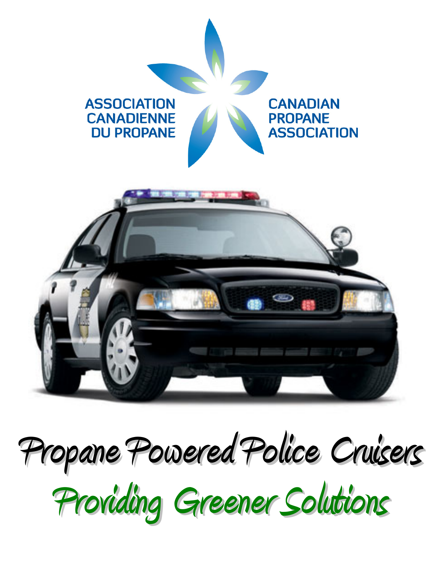

## **Propane Powered Police Cruisers**

**Providing Greener Solutions**